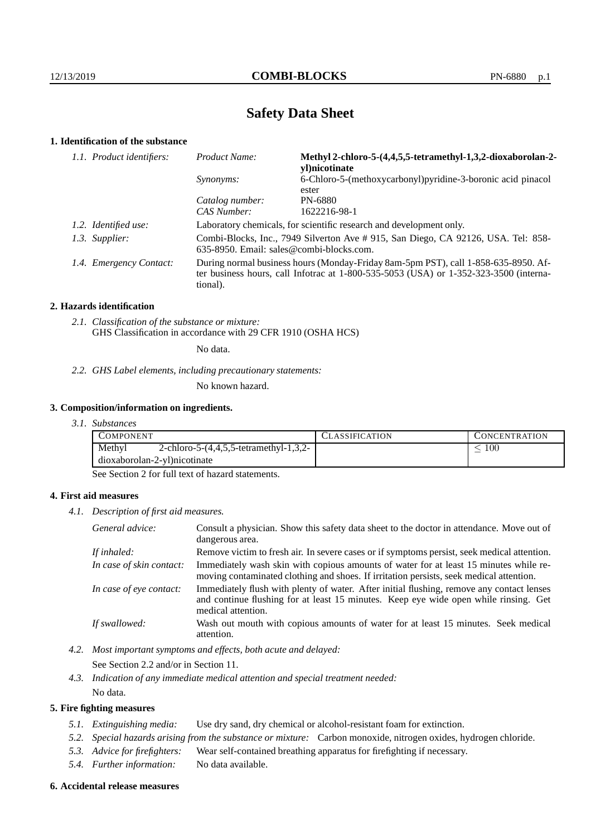# **Safety Data Sheet**

# **1. Identification of the substance**

| 1.1. Product identifiers: | Product Name:                                                                                                                                                                               | Methyl 2-chloro-5-(4,4,5,5-tetramethyl-1,3,2-dioxaborolan-2-<br>vl)nicotinate |
|---------------------------|---------------------------------------------------------------------------------------------------------------------------------------------------------------------------------------------|-------------------------------------------------------------------------------|
|                           | <i>Synonyms:</i>                                                                                                                                                                            | 6-Chloro-5-(methoxycarbonyl) pyridine-3-boronic acid pinacol<br>ester         |
|                           | Catalog number:                                                                                                                                                                             | PN-6880                                                                       |
|                           | CAS Number:                                                                                                                                                                                 | 1622216-98-1                                                                  |
| 1.2. Identified use:      | Laboratory chemicals, for scientific research and development only.                                                                                                                         |                                                                               |
| 1.3. Supplier:            | Combi-Blocks, Inc., 7949 Silverton Ave #915, San Diego, CA 92126, USA. Tel: 858-<br>635-8950. Email: sales@combi-blocks.com.                                                                |                                                                               |
| 1.4. Emergency Contact:   | During normal business hours (Monday-Friday 8am-5pm PST), call 1-858-635-8950. Af-<br>ter business hours, call Infotrac at $1-800-535-5053$ (USA) or $1-352-323-3500$ (interna-<br>tional). |                                                                               |

# **2. Hazards identification**

*2.1. Classification of the substance or mixture:* GHS Classification in accordance with 29 CFR 1910 (OSHA HCS)

No data.

### *2.2. GHS Label elements, including precautionary statements:*

No known hazard.

# **3. Composition/information on ingredients.**

*3.1. Substances*

|                                                                                      | CLASSIFICATION | <b>CONCENTRATION</b> |
|--------------------------------------------------------------------------------------|----------------|----------------------|
| Methyl<br>2-chloro-5- $(4,4,5,5$ -tetramethyl-1,3,2-<br>dioxaborolan-2-yl)nicotinate |                | 100                  |

See Section 2 for full text of hazard statements.

# **4. First aid measures**

*4.1. Description of first aid measures.*

| General advice:          | Consult a physician. Show this safety data sheet to the doctor in attendance. Move out of<br>dangerous area.                                                                                            |
|--------------------------|---------------------------------------------------------------------------------------------------------------------------------------------------------------------------------------------------------|
| If inhaled:              | Remove victim to fresh air. In severe cases or if symptoms persist, seek medical attention.                                                                                                             |
| In case of skin contact: | Immediately wash skin with copious amounts of water for at least 15 minutes while re-<br>moving contaminated clothing and shoes. If irritation persists, seek medical attention.                        |
| In case of eye contact:  | Immediately flush with plenty of water. After initial flushing, remove any contact lenses<br>and continue flushing for at least 15 minutes. Keep eye wide open while rinsing. Get<br>medical attention. |
| If swallowed:            | Wash out mouth with copious amounts of water for at least 15 minutes. Seek medical<br>attention.                                                                                                        |

*4.2. Most important symptoms and effects, both acute and delayed:*

See Section 2.2 and/or in Section 11.

*4.3. Indication of any immediate medical attention and special treatment needed:* No data.

# **5. Fire fighting measures**

- *5.1. Extinguishing media:* Use dry sand, dry chemical or alcohol-resistant foam for extinction.
- *5.2. Special hazards arising from the substance or mixture:* Carbon monoxide, nitrogen oxides, hydrogen chloride.
- *5.3. Advice for firefighters:* Wear self-contained breathing apparatus for firefighting if necessary.
- *5.4. Further information:* No data available.

#### **6. Accidental release measures**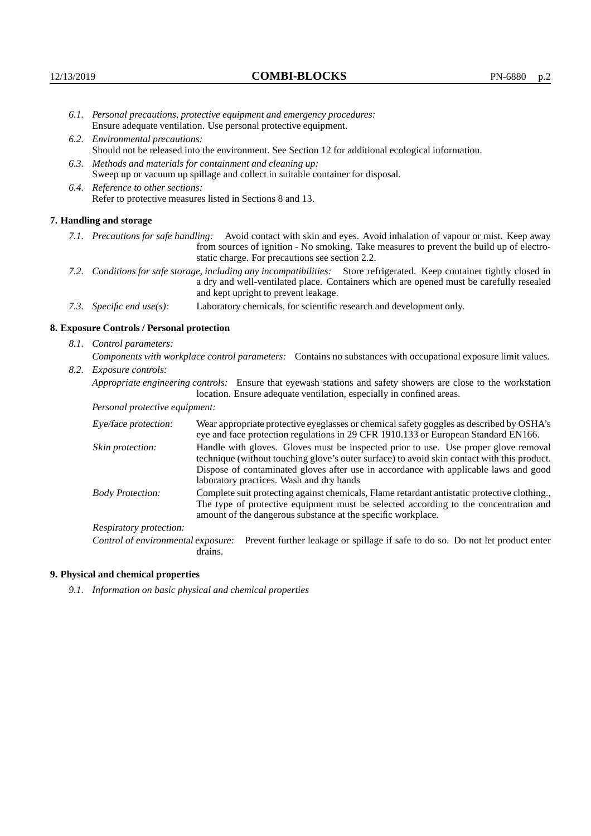- *6.1. Personal precautions, protective equipment and emergency procedures:* Ensure adequate ventilation. Use personal protective equipment.
- *6.2. Environmental precautions:* Should not be released into the environment. See Section 12 for additional ecological information.
- *6.3. Methods and materials for containment and cleaning up:* Sweep up or vacuum up spillage and collect in suitable container for disposal.
- *6.4. Reference to other sections:* Refer to protective measures listed in Sections 8 and 13.

### **7. Handling and storage**

- *7.1. Precautions for safe handling:* Avoid contact with skin and eyes. Avoid inhalation of vapour or mist. Keep away from sources of ignition - No smoking. Take measures to prevent the build up of electrostatic charge. For precautions see section 2.2.
- *7.2. Conditions for safe storage, including any incompatibilities:* Store refrigerated. Keep container tightly closed in a dry and well-ventilated place. Containers which are opened must be carefully resealed and kept upright to prevent leakage.
- *7.3. Specific end use(s):* Laboratory chemicals, for scientific research and development only.

#### **8. Exposure Controls / Personal protection**

*8.1. Control parameters:*

*Components with workplace control parameters:* Contains no substances with occupational exposure limit values.

*8.2. Exposure controls:*

*Appropriate engineering controls:* Ensure that eyewash stations and safety showers are close to the workstation location. Ensure adequate ventilation, especially in confined areas.

*Personal protective equipment:*

| Eye/face protection:    | Wear appropriate protective eyeglasses or chemical safety goggles as described by OSHA's<br>eye and face protection regulations in 29 CFR 1910.133 or European Standard EN166.                                                                                                                                         |
|-------------------------|------------------------------------------------------------------------------------------------------------------------------------------------------------------------------------------------------------------------------------------------------------------------------------------------------------------------|
| Skin protection:        | Handle with gloves. Gloves must be inspected prior to use. Use proper glove removal<br>technique (without touching glove's outer surface) to avoid skin contact with this product.<br>Dispose of contaminated gloves after use in accordance with applicable laws and good<br>laboratory practices. Wash and dry hands |
| <b>Body Protection:</b> | Complete suit protecting against chemicals, Flame retardant antistatic protective clothing.,<br>The type of protective equipment must be selected according to the concentration and<br>amount of the dangerous substance at the specific workplace.                                                                   |
| Respiratory protection: |                                                                                                                                                                                                                                                                                                                        |

Control of environmental exposure: Prevent further leakage or spillage if safe to do so. Do not let product enter drains.

## **9. Physical and chemical properties**

*9.1. Information on basic physical and chemical properties*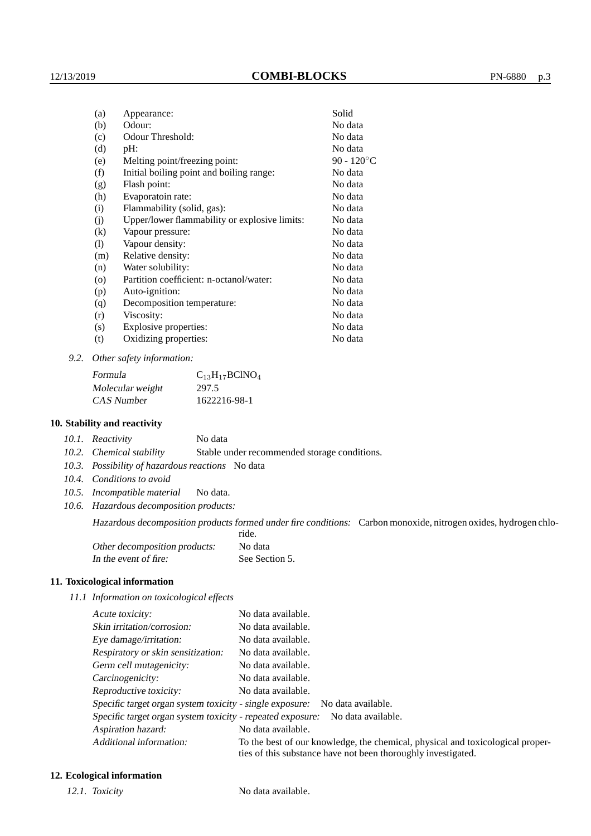| (a)     | Appearance:                                   | Solid                |
|---------|-----------------------------------------------|----------------------|
| (b)     | Odour:                                        | No data              |
| (c)     | Odour Threshold:                              | No data              |
| (d)     | $pH$ :                                        | No data              |
| (e)     | Melting point/freezing point:                 | 90 - $120^{\circ}$ C |
| (f)     | Initial boiling point and boiling range:      | No data              |
| (g)     | Flash point:                                  | No data              |
| (h)     | Evaporatoin rate:                             | No data              |
| (i)     | Flammability (solid, gas):                    | No data              |
| (j)     | Upper/lower flammability or explosive limits: | No data              |
| (k)     | Vapour pressure:                              | No data              |
| (1)     | Vapour density:                               | No data              |
| (m)     | Relative density:                             | No data              |
| (n)     | Water solubility:                             | No data              |
| $\circ$ | Partition coefficient: n-octanol/water:       | No data              |
| (p)     | Auto-ignition:                                | No data              |
| (q)     | Decomposition temperature:                    | No data              |
| (r)     | Viscosity:                                    | No data              |
| (s)     | Explosive properties:                         | No data              |
| (t)     | Oxidizing properties:                         | No data              |
|         |                                               |                      |

*9.2. Other safety information:*

| Formula          | $C_{13}H_{17}BCINO_4$ |
|------------------|-----------------------|
| Molecular weight | 297.5                 |
| CAS Number       | 1622216-98-1          |

# **10. Stability and reactivity**

|  | 10.1. Reactivity | No data |
|--|------------------|---------|
|--|------------------|---------|

*10.2. Chemical stability* Stable under recommended storage conditions.

- *10.3. Possibility of hazardous reactions* No data
- *10.4. Conditions to avoid*
- *10.5. Incompatible material* No data.
- *10.6. Hazardous decomposition products:*

Hazardous decomposition products formed under fire conditions: Carbon monoxide, nitrogen oxides, hydrogen chlo-

|                               | ride.          |
|-------------------------------|----------------|
| Other decomposition products: | No data        |
| In the event of fire:         | See Section 5. |

# **11. Toxicological information**

*11.1 Information on toxicological effects*

| Acute toxicity:                                            | No data available.                                                                                                                              |
|------------------------------------------------------------|-------------------------------------------------------------------------------------------------------------------------------------------------|
| Skin irritation/corrosion:                                 | No data available.                                                                                                                              |
| Eye damage/irritation:                                     | No data available.                                                                                                                              |
| Respiratory or skin sensitization:                         | No data available.                                                                                                                              |
| Germ cell mutagenicity:                                    | No data available.                                                                                                                              |
| Carcinogenicity:                                           | No data available.                                                                                                                              |
| Reproductive toxicity:                                     | No data available.                                                                                                                              |
| Specific target organ system toxicity - single exposure:   | No data available.                                                                                                                              |
| Specific target organ system toxicity - repeated exposure: | No data available.                                                                                                                              |
| Aspiration hazard:                                         | No data available.                                                                                                                              |
| Additional information:                                    | To the best of our knowledge, the chemical, physical and toxicological proper-<br>ties of this substance have not been thoroughly investigated. |

# **12. Ecological information**

*12.1. Toxicity* No data available.